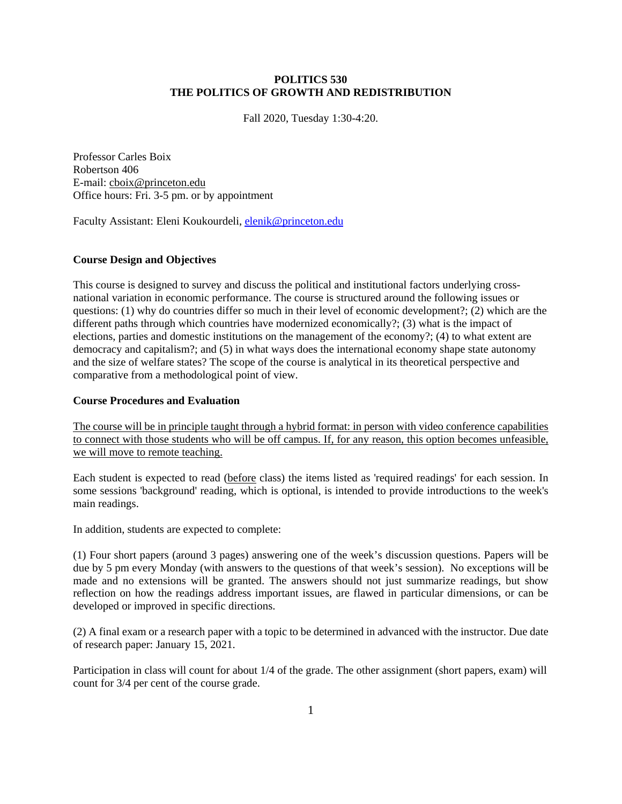## **POLITICS 530 THE POLITICS OF GROWTH AND REDISTRIBUTION**

Fall 2020, Tuesday 1:30-4:20.

Professor Carles Boix Robertson 406 E-mail: cboix@princeton.edu Office hours: Fri. 3-5 pm. or by appointment

Faculty Assistant: Eleni Koukourdeli, [elenik@princeton.edu](mailto:elenik@princeton.edu)

## **Course Design and Objectives**

This course is designed to survey and discuss the political and institutional factors underlying crossnational variation in economic performance. The course is structured around the following issues or questions: (1) why do countries differ so much in their level of economic development?; (2) which are the different paths through which countries have modernized economically?; (3) what is the impact of elections, parties and domestic institutions on the management of the economy?; (4) to what extent are democracy and capitalism?; and (5) in what ways does the international economy shape state autonomy and the size of welfare states? The scope of the course is analytical in its theoretical perspective and comparative from a methodological point of view.

## **Course Procedures and Evaluation**

The course will be in principle taught through a hybrid format: in person with video conference capabilities to connect with those students who will be off campus. If, for any reason, this option becomes unfeasible, we will move to remote teaching.

Each student is expected to read (before class) the items listed as 'required readings' for each session. In some sessions 'background' reading, which is optional, is intended to provide introductions to the week's main readings.

In addition, students are expected to complete:

(1) Four short papers (around 3 pages) answering one of the week's discussion questions. Papers will be due by 5 pm every Monday (with answers to the questions of that week's session). No exceptions will be made and no extensions will be granted. The answers should not just summarize readings, but show reflection on how the readings address important issues, are flawed in particular dimensions, or can be developed or improved in specific directions.

(2) A final exam or a research paper with a topic to be determined in advanced with the instructor. Due date of research paper: January 15, 2021.

Participation in class will count for about 1/4 of the grade. The other assignment (short papers, exam) will count for 3/4 per cent of the course grade.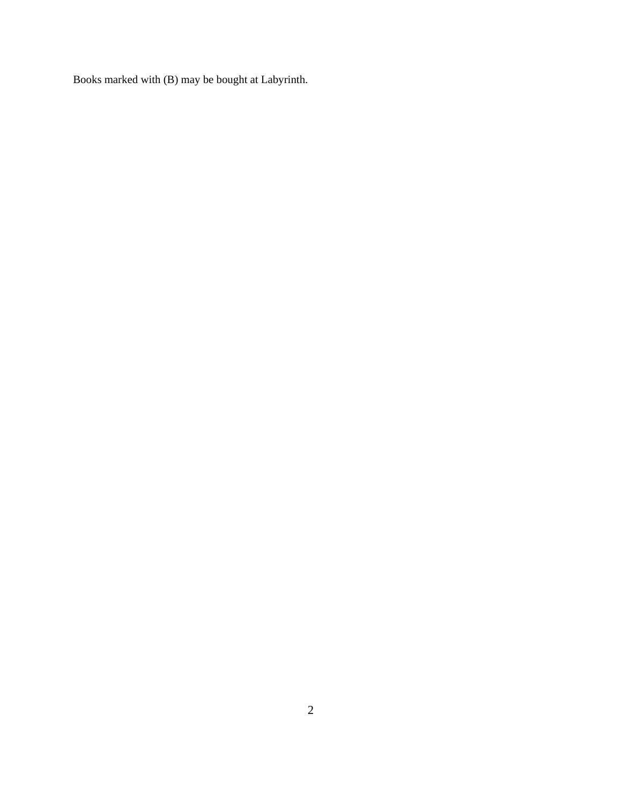Books marked with (B) may be bought at Labyrinth.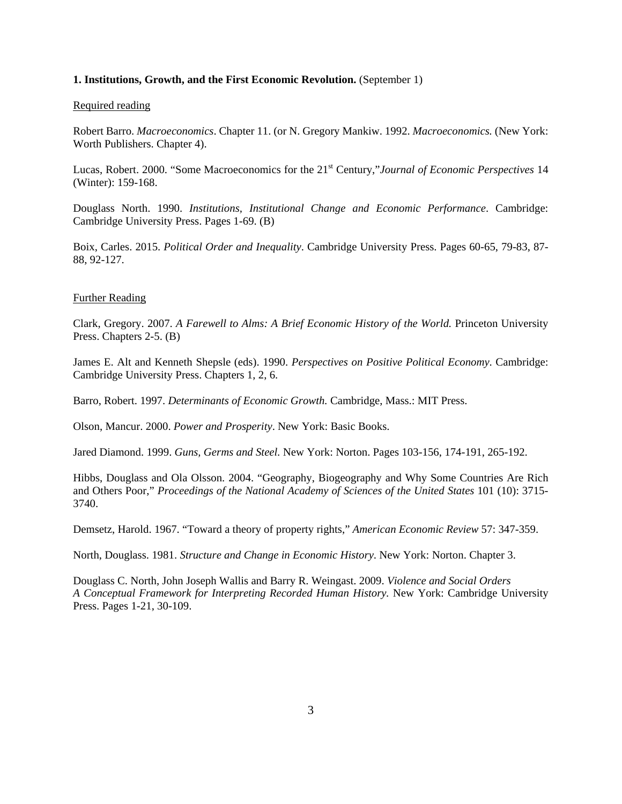#### **1. Institutions, Growth, and the First Economic Revolution.** (September 1)

#### Required reading

Robert Barro. *Macroeconomics*. Chapter 11. (or N. Gregory Mankiw. 1992. *Macroeconomics.* (New York: Worth Publishers. Chapter 4).

Lucas, Robert. 2000. "Some Macroeconomics for the 21st Century,"*Journal of Economic Perspectives* 14 (Winter): 159-168.

Douglass North. 1990. *Institutions, Institutional Change and Economic Performance*. Cambridge: Cambridge University Press. Pages 1-69. (B)

Boix, Carles. 2015. *Political Order and Inequality*. Cambridge University Press. Pages 60-65, 79-83, 87- 88, 92-127.

#### Further Reading

Clark, Gregory. 2007. *A Farewell to Alms: A Brief Economic History of the World.* Princeton University Press. Chapters 2-5. (B)

James E. Alt and Kenneth Shepsle (eds). 1990. *Perspectives on Positive Political Economy*. Cambridge: Cambridge University Press. Chapters 1, 2, 6.

Barro, Robert. 1997. *Determinants of Economic Growth.* Cambridge, Mass.: MIT Press.

Olson, Mancur. 2000. *Power and Prosperity*. New York: Basic Books.

Jared Diamond. 1999. *Guns, Germs and Steel.* New York: Norton. Pages 103-156, 174-191, 265-192.

Hibbs, Douglass and Ola Olsson. 2004. "Geography, Biogeography and Why Some Countries Are Rich and Others Poor," *Proceedings of the National Academy of Sciences of the United States* 101 (10): 3715- 3740.

Demsetz, Harold. 1967. "Toward a theory of property rights," *American Economic Review* 57: 347-359.

North, Douglass. 1981. *Structure and Change in Economic History*. New York: Norton. Chapter 3.

Douglass C. North, John Joseph Wallis and Barry R. Weingast. 2009. *Violence and Social Orders A Conceptual Framework for Interpreting Recorded Human History.* New York: Cambridge University Press. Pages 1-21, 30-109.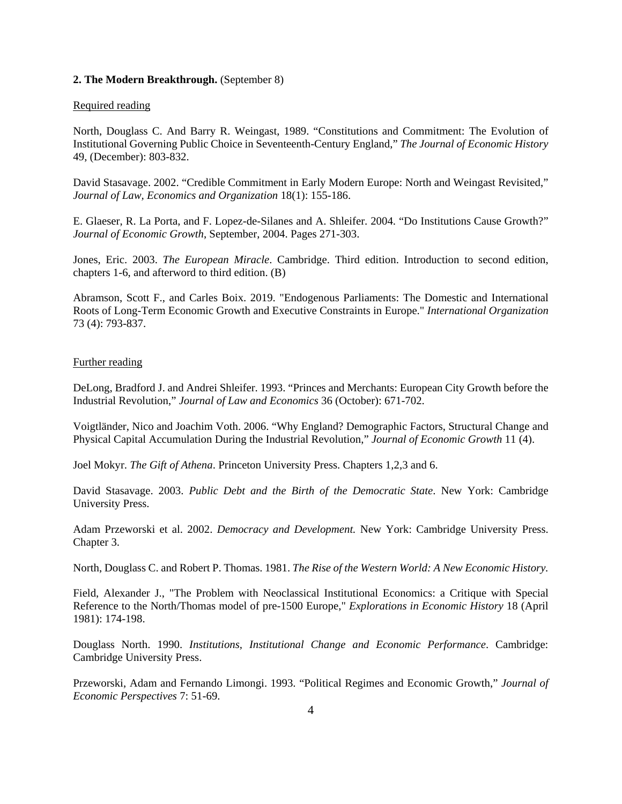#### **2. The Modern Breakthrough.** (September 8)

#### Required reading

North, Douglass C. And Barry R. Weingast, 1989. "Constitutions and Commitment: The Evolution of Institutional Governing Public Choice in Seventeenth-Century England," *The Journal of Economic History* 49, (December): 803-832.

David Stasavage. 2002. "Credible Commitment in Early Modern Europe: North and Weingast Revisited," *Journal of Law, Economics and Organization* 18(1): 155-186.

E. Glaeser, R. La Porta, and F. Lopez-de-Silanes and A. Shleifer. 2004. "Do Institutions Cause Growth?" *Journal of Economic Growth*, September, 2004. Pages 271-303.

Jones, Eric. 2003. *The European Miracle*. Cambridge. Third edition. Introduction to second edition, chapters 1-6, and afterword to third edition. (B)

Abramson, Scott F., and Carles Boix. 2019. "Endogenous Parliaments: The Domestic and International Roots of Long-Term Economic Growth and Executive Constraints in Europe." *International Organization* 73 (4): 793-837.

## Further reading

DeLong, Bradford J. and Andrei Shleifer. 1993. "Princes and Merchants: European City Growth before the Industrial Revolution," *Journal of Law and Economics* 36 (October): 671-702.

Voigtländer, Nico and Joachim Voth. 2006. "Why England? Demographic Factors, Structural Change and Physical Capital Accumulation During the Industrial Revolution," *Journal of Economic Growth* 11 (4).

Joel Mokyr. *The Gift of Athena*. Princeton University Press. Chapters 1,2,3 and 6.

David Stasavage. 2003. *Public Debt and the Birth of the Democratic State*. New York: Cambridge University Press.

Adam Przeworski et al. 2002. *Democracy and Development.* New York: Cambridge University Press. Chapter 3.

North, Douglass C. and Robert P. Thomas. 1981. *The Rise of the Western World: A New Economic History.*

Field, Alexander J., "The Problem with Neoclassical Institutional Economics: a Critique with Special Reference to the North/Thomas model of pre-1500 Europe," *Explorations in Economic History* 18 (April 1981): 174-198.

Douglass North. 1990. *Institutions, Institutional Change and Economic Performance*. Cambridge: Cambridge University Press.

Przeworski, Adam and Fernando Limongi. 1993. "Political Regimes and Economic Growth," *Journal of Economic Perspectives* 7: 51-69.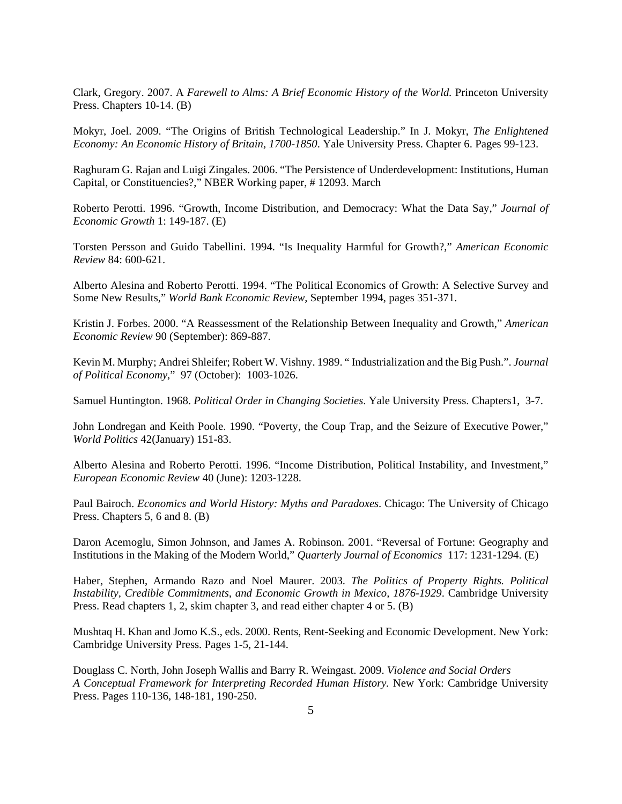Clark, Gregory. 2007. A *Farewell to Alms: A Brief Economic History of the World.* Princeton University Press. Chapters 10-14. (B)

Mokyr, Joel. 2009. "The Origins of British Technological Leadership." In J. Mokyr, *The Enlightened Economy: An Economic History of Britain, 1700-1850*. Yale University Press. Chapter 6. Pages 99-123.

Raghuram G. Rajan and Luigi Zingales. 2006. "The Persistence of Underdevelopment: Institutions, Human Capital, or Constituencies?," NBER Working paper, # 12093. March

Roberto Perotti. 1996. "Growth, Income Distribution, and Democracy: What the Data Say," *Journal of Economic Growth* 1: 149-187. (E)

Torsten Persson and Guido Tabellini. 1994. "Is Inequality Harmful for Growth?," *American Economic Review* 84: 600-621.

Alberto Alesina and Roberto Perotti. 1994. "The Political Economics of Growth: A Selective Survey and Some New Results," *World Bank Economic Review*, September 1994, pages 351-371.

Kristin J. Forbes. 2000. "A Reassessment of the Relationship Between Inequality and Growth," *American Economic Review* 90 (September): 869-887.

Kevin M. Murphy; Andrei Shleifer; Robert W. Vishny. 1989. " Industrialization and the Big Push.". *Journal of Political Economy*," 97 (October): 1003-1026.

Samuel Huntington. 1968. *Political Order in Changing Societies*. Yale University Press. Chapters1, 3-7.

John Londregan and Keith Poole. 1990. "Poverty, the Coup Trap, and the Seizure of Executive Power," *World Politics* 42(January) 151-83.

Alberto Alesina and Roberto Perotti. 1996. "Income Distribution, Political Instability, and Investment," *European Economic Review* 40 (June): 1203-1228.

Paul Bairoch. *Economics and World History: Myths and Paradoxes*. Chicago: The University of Chicago Press. Chapters 5, 6 and 8. (B)

Daron Acemoglu, Simon Johnson, and James A. Robinson. 2001. "Reversal of Fortune: Geography and Institutions in the Making of the Modern World," *Quarterly Journal of Economics* 117: 1231-1294. (E)

Haber, Stephen, Armando Razo and Noel Maurer. 2003. *The Politics of Property Rights. Political Instability, Credible Commitments, and Economic Growth in Mexico, 1876-1929*. Cambridge University Press. Read chapters 1, 2, skim chapter 3, and read either chapter 4 or 5. (B)

Mushtaq H. Khan and Jomo K.S., eds. 2000. Rents, Rent-Seeking and Economic Development. New York: Cambridge University Press. Pages 1-5, 21-144.

Douglass C. North, John Joseph Wallis and Barry R. Weingast. 2009. *Violence and Social Orders A Conceptual Framework for Interpreting Recorded Human History.* New York: Cambridge University Press. Pages 110-136, 148-181, 190-250.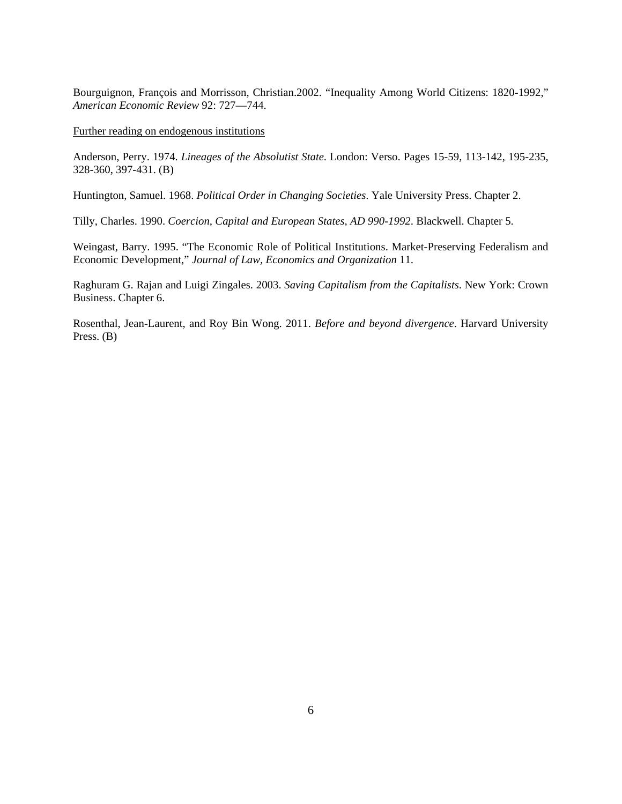Bourguignon, François and Morrisson, Christian.2002. "Inequality Among World Citizens: 1820-1992," *American Economic Review* 92: 727—744.

#### Further reading on endogenous institutions

Anderson, Perry. 1974. *Lineages of the Absolutist State*. London: Verso. Pages 15-59, 113-142, 195-235, 328-360, 397-431. (B)

Huntington, Samuel. 1968. *Political Order in Changing Societies*. Yale University Press. Chapter 2.

Tilly, Charles. 1990. *Coercion, Capital and European States, AD 990-1992*. Blackwell. Chapter 5.

Weingast, Barry. 1995. "The Economic Role of Political Institutions. Market-Preserving Federalism and Economic Development," *Journal of Law, Economics and Organization* 11.

Raghuram G. Rajan and Luigi Zingales. 2003. *Saving Capitalism from the Capitalists*. New York: Crown Business. Chapter 6.

Rosenthal, Jean-Laurent, and Roy Bin Wong. 2011. *Before and beyond divergence*. Harvard University Press. (B)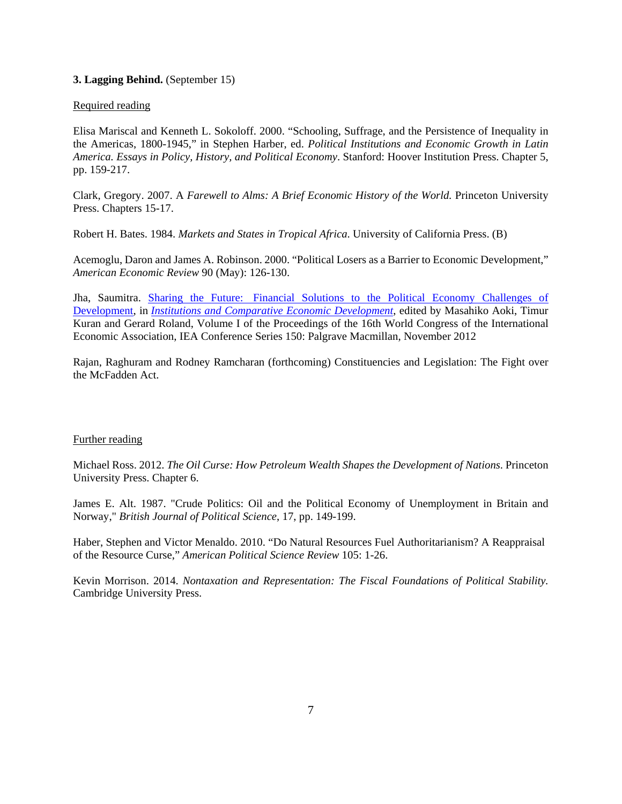## **3. Lagging Behind.** (September 15)

## Required reading

Elisa Mariscal and Kenneth L. Sokoloff. 2000. "Schooling, Suffrage, and the Persistence of Inequality in the Americas, 1800-1945," in Stephen Harber, ed. *Political Institutions and Economic Growth in Latin America. Essays in Policy, History, and Political Economy*. Stanford: Hoover Institution Press. Chapter 5, pp. 159-217.

Clark, Gregory. 2007. A *Farewell to Alms: A Brief Economic History of the World.* Princeton University Press. Chapters 15-17.

Robert H. Bates. 1984. *Markets and States in Tropical Africa*. University of California Press. (B)

Acemoglu, Daron and James A. Robinson. 2000. "Political Losers as a Barrier to Economic Development," *American Economic Review* 90 (May): 126-130.

Jha, Saumitra. [Sharing the Future: Financial Solutions to the Political Economy Challenges of](http://papers.ssrn.com/sol3/papers.cfm?abstract_id=2001039)  [Development,](http://papers.ssrn.com/sol3/papers.cfm?abstract_id=2001039) in *[Institutions and Comparative Economic Development](http://www.amazon.com/Institutions-Comparative-Development-International-Association/dp/1137034033)*, edited by Masahiko Aoki, Timur Kuran and Gerard Roland, Volume I of the Proceedings of the 16th World Congress of the International Economic Association, IEA Conference Series 150: Palgrave Macmillan, November 2012

Rajan, Raghuram and Rodney Ramcharan (forthcoming) Constituencies and Legislation: The Fight over the McFadden Act.

## Further reading

Michael Ross. 2012. *The Oil Curse: How Petroleum Wealth Shapes the Development of Nations*. Princeton University Press. Chapter 6.

James E. Alt. 1987. "Crude Politics: Oil and the Political Economy of Unemployment in Britain and Norway," *British Journal of Political Science*, 17, pp. 149-199.

Haber, Stephen and Victor Menaldo. 2010. "Do Natural Resources Fuel Authoritarianism? A Reappraisal of the Resource Curse," *American Political Science Review* 105: 1-26.

Kevin Morrison. 2014. *Nontaxation and Representation: The Fiscal Foundations of Political Stability.* Cambridge University Press.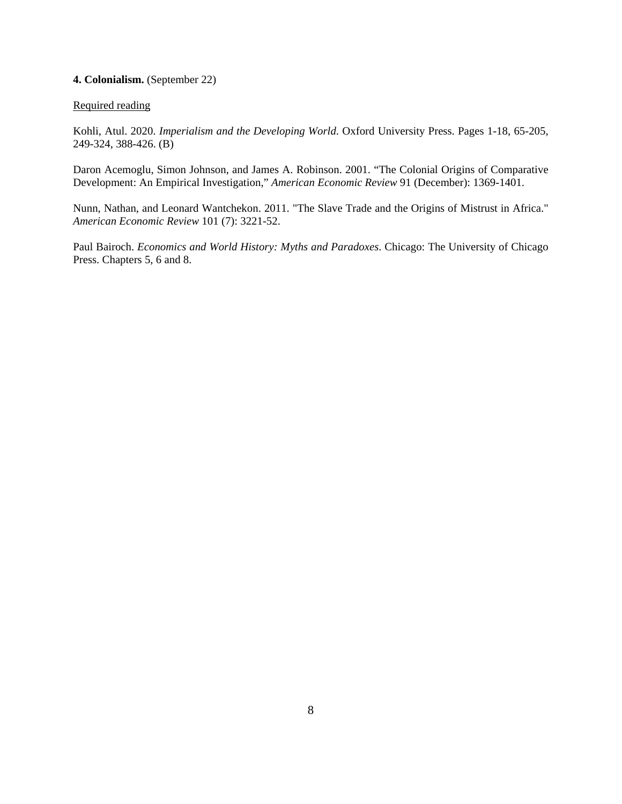## **4. Colonialism.** (September 22)

## Required reading

Kohli, Atul. 2020. *Imperialism and the Developing World*. Oxford University Press. Pages 1-18, 65-205, 249-324, 388-426. (B)

Daron Acemoglu, Simon Johnson, and James A. Robinson. 2001. "The Colonial Origins of Comparative Development: An Empirical Investigation," *American Economic Review* 91 (December): 1369-1401.

Nunn, Nathan, and Leonard Wantchekon. 2011. "The Slave Trade and the Origins of Mistrust in Africa." *American Economic Review* 101 (7): 3221-52.

Paul Bairoch. *Economics and World History: Myths and Paradoxes*. Chicago: The University of Chicago Press. Chapters 5, 6 and 8.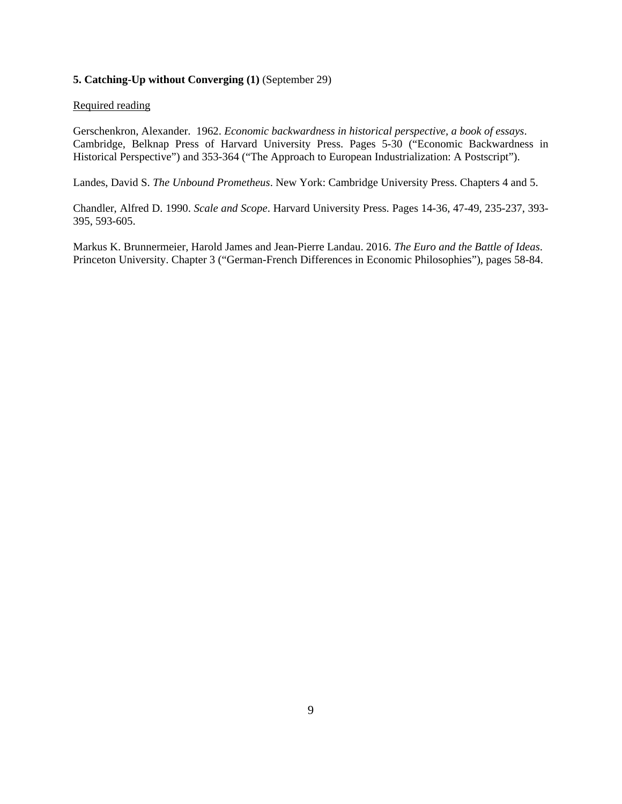## **5. Catching-Up without Converging (1)** (September 29)

#### Required reading

Gerschenkron, Alexander. 1962. *Economic backwardness in historical perspective, a book of essays*. Cambridge, Belknap Press of Harvard University Press. Pages 5-30 ("Economic Backwardness in Historical Perspective") and 353-364 ("The Approach to European Industrialization: A Postscript").

Landes, David S. *The Unbound Prometheus*. New York: Cambridge University Press. Chapters 4 and 5.

Chandler, Alfred D. 1990. *Scale and Scope*. Harvard University Press. Pages 14-36, 47-49, 235-237, 393- 395, 593-605.

Markus K. Brunnermeier, Harold James and Jean-Pierre Landau. 2016. *The Euro and the Battle of Ideas*. Princeton University. Chapter 3 ("German-French Differences in Economic Philosophies"), pages 58-84.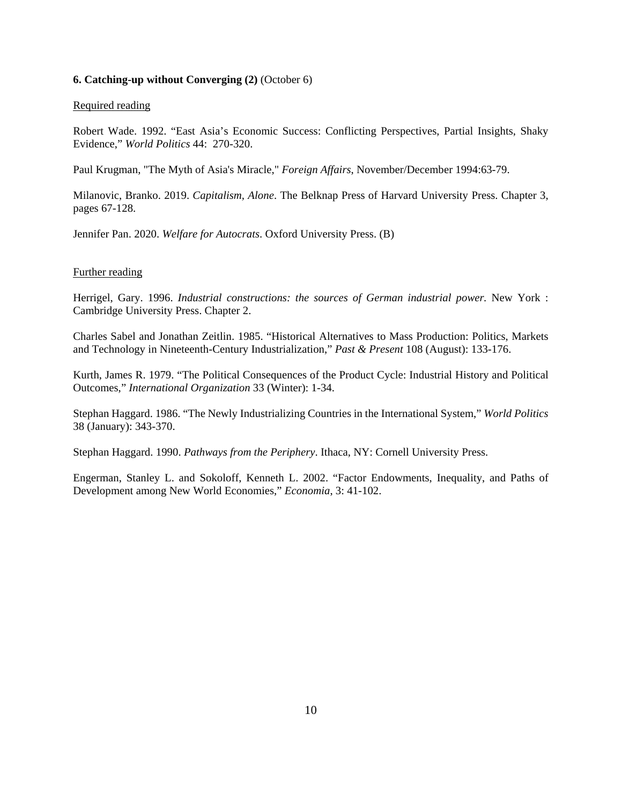#### **6. Catching-up without Converging (2)** (October 6)

#### Required reading

Robert Wade. 1992. "East Asia's Economic Success: Conflicting Perspectives, Partial Insights, Shaky Evidence," *World Politics* 44: 270-320.

Paul Krugman, "The Myth of Asia's Miracle," *Foreign Affairs*, November/December 1994:63-79.

Milanovic, Branko. 2019. *Capitalism, Alone*. The Belknap Press of Harvard University Press. Chapter 3, pages 67-128.

Jennifer Pan. 2020. *Welfare for Autocrats*. Oxford University Press. (B)

#### Further reading

Herrigel, Gary. 1996. *Industrial constructions: the sources of German industrial power.* New York : Cambridge University Press. Chapter 2.

Charles Sabel and Jonathan Zeitlin. 1985. "Historical Alternatives to Mass Production: Politics, Markets and Technology in Nineteenth-Century Industrialization," *Past & Present* 108 (August): 133-176.

Kurth, James R. 1979. "The Political Consequences of the Product Cycle: Industrial History and Political Outcomes," *International Organization* 33 (Winter): 1-34.

Stephan Haggard. 1986. "The Newly Industrializing Countries in the International System," *World Politics*  38 (January): 343-370.

Stephan Haggard. 1990. *Pathways from the Periphery*. Ithaca, NY: Cornell University Press.

Engerman, Stanley L. and Sokoloff, Kenneth L. 2002. "Factor Endowments, Inequality, and Paths of Development among New World Economies," *Economia*, 3: 41-102.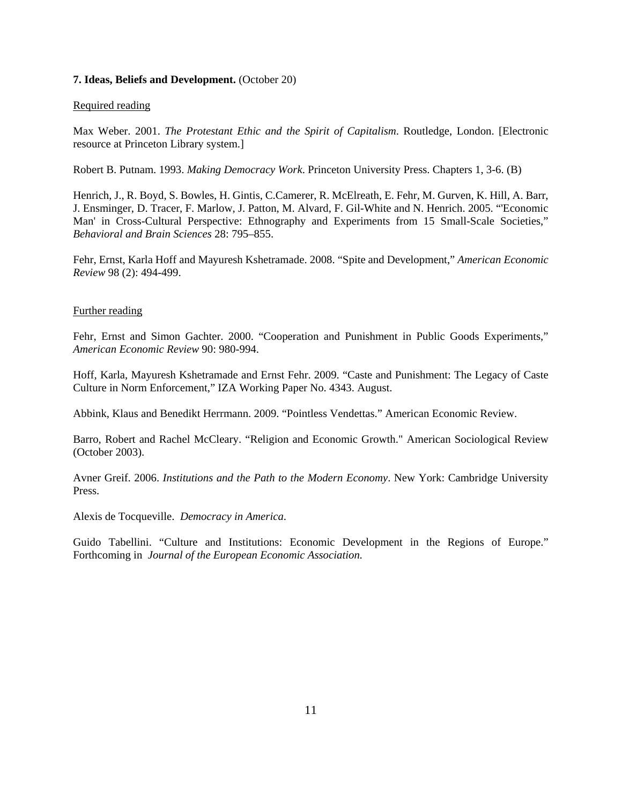#### **7. Ideas, Beliefs and Development.** (October 20)

#### Required reading

Max Weber. 2001. *The Protestant Ethic and the Spirit of Capitalism*. Routledge, London. [Electronic resource at Princeton Library system.]

Robert B. Putnam. 1993. *Making Democracy Work*. Princeton University Press. Chapters 1, 3-6. (B)

Henrich, J., R. Boyd, S. Bowles, H. Gintis, C.Camerer, R. McElreath, E. Fehr, M. Gurven, K. Hill, A. Barr, J. Ensminger, D. Tracer, F. Marlow, J. Patton, M. Alvard, F. Gil-White and N. Henrich. 2005. "'Economic Man' in Cross-Cultural Perspective: Ethnography and Experiments from 15 Small-Scale Societies," *Behavioral and Brain Sciences* 28: 795–855.

Fehr, Ernst, Karla Hoff and Mayuresh Kshetramade. 2008. "Spite and Development," *American Economic Review* 98 (2): 494-499.

#### Further reading

Fehr, Ernst and Simon Gachter. 2000. "Cooperation and Punishment in Public Goods Experiments," *American Economic Review* 90: 980-994.

Hoff, Karla, Mayuresh Kshetramade and Ernst Fehr. 2009. "Caste and Punishment: The Legacy of Caste Culture in Norm Enforcement," IZA Working Paper No. 4343. August.

Abbink, Klaus and Benedikt Herrmann. 2009. "Pointless Vendettas." American Economic Review.

Barro, Robert and Rachel McCleary. "Religion and Economic Growth." American Sociological Review (October 2003).

Avner Greif. 2006. *Institutions and the Path to the Modern Economy*. New York: Cambridge University Press.

Alexis de Tocqueville. *Democracy in America*.

Guido Tabellini. "Culture and Institutions: Economic Development in the Regions of Europe." Forthcoming in *Journal of the European Economic Association.*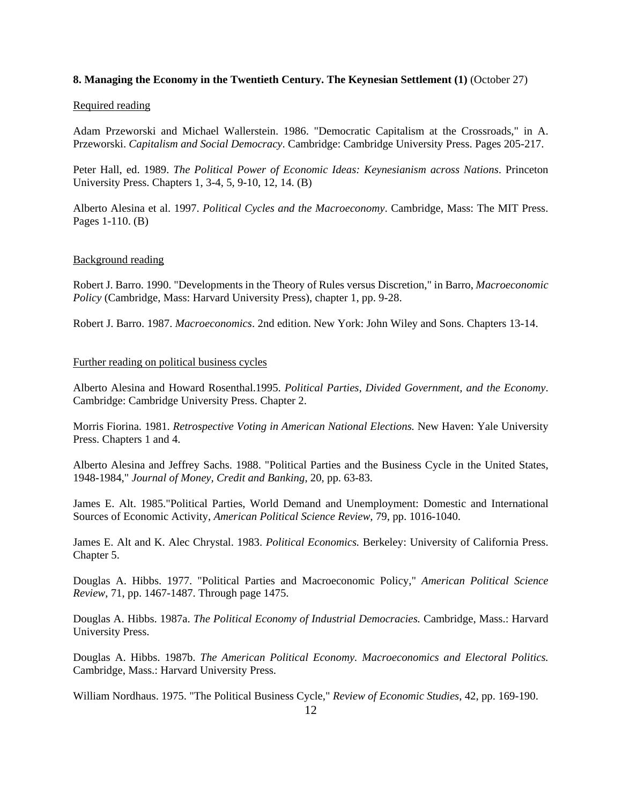## **8. Managing the Economy in the Twentieth Century. The Keynesian Settlement (1)** (October 27)

#### Required reading

Adam Przeworski and Michael Wallerstein. 1986. "Democratic Capitalism at the Crossroads," in A. Przeworski. *Capitalism and Social Democracy*. Cambridge: Cambridge University Press. Pages 205-217.

Peter Hall, ed. 1989. *The Political Power of Economic Ideas: Keynesianism across Nations*. Princeton University Press. Chapters 1, 3-4, 5, 9-10, 12, 14. (B)

Alberto Alesina et al. 1997. *Political Cycles and the Macroeconomy*. Cambridge, Mass: The MIT Press. Pages 1-110. (B)

#### Background reading

Robert J. Barro. 1990. "Developments in the Theory of Rules versus Discretion," in Barro, *Macroeconomic Policy* (Cambridge, Mass: Harvard University Press), chapter 1, pp. 9-28.

Robert J. Barro. 1987. *Macroeconomics*. 2nd edition. New York: John Wiley and Sons. Chapters 13-14.

## Further reading on political business cycles

Alberto Alesina and Howard Rosenthal.1995. *Political Parties, Divided Government, and the Economy*. Cambridge: Cambridge University Press. Chapter 2.

Morris Fiorina. 1981. *Retrospective Voting in American National Elections.* New Haven: Yale University Press. Chapters 1 and 4.

Alberto Alesina and Jeffrey Sachs. 1988. "Political Parties and the Business Cycle in the United States, 1948-1984," *Journal of Money, Credit and Banking*, 20, pp. 63-83.

James E. Alt. 1985."Political Parties, World Demand and Unemployment: Domestic and International Sources of Economic Activity, *American Political Science Review*, 79, pp. 1016-1040.

James E. Alt and K. Alec Chrystal. 1983. *Political Economics.* Berkeley: University of California Press. Chapter 5.

Douglas A. Hibbs. 1977. "Political Parties and Macroeconomic Policy," *American Political Science Review*, 71, pp. 1467-1487. Through page 1475.

Douglas A. Hibbs. 1987a. *The Political Economy of Industrial Democracies.* Cambridge, Mass.: Harvard University Press.

Douglas A. Hibbs. 1987b. *The American Political Economy. Macroeconomics and Electoral Politics.* Cambridge, Mass.: Harvard University Press.

William Nordhaus. 1975. "The Political Business Cycle," *Review of Economic Studies*, 42, pp. 169-190.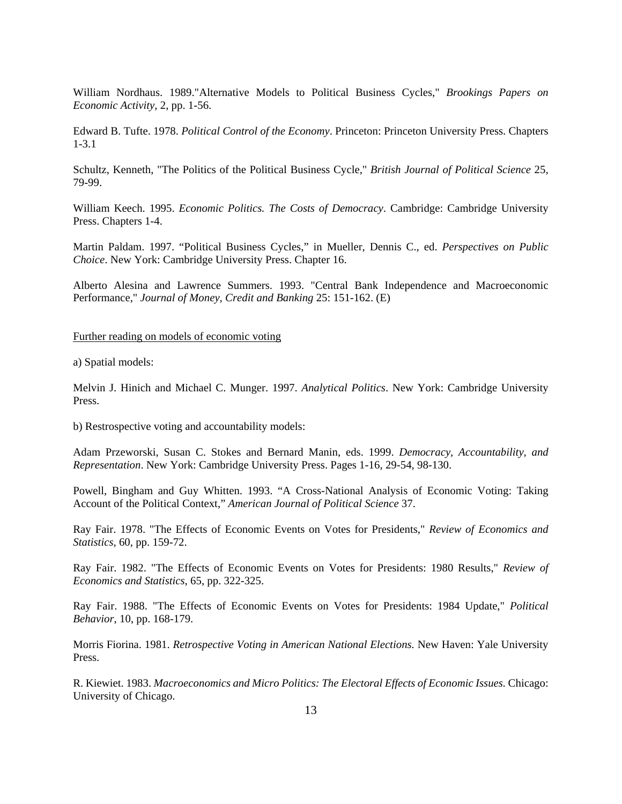William Nordhaus. 1989."Alternative Models to Political Business Cycles," *Brookings Papers on Economic Activity*, 2, pp. 1-56.

Edward B. Tufte. 1978. *Political Control of the Economy*. Princeton: Princeton University Press. Chapters 1-3.1

Schultz, Kenneth, "The Politics of the Political Business Cycle," *British Journal of Political Science* 25, 79-99.

William Keech. 1995. *Economic Politics. The Costs of Democracy*. Cambridge: Cambridge University Press. Chapters 1-4.

Martin Paldam. 1997. "Political Business Cycles," in Mueller, Dennis C., ed. *Perspectives on Public Choice*. New York: Cambridge University Press. Chapter 16.

Alberto Alesina and Lawrence Summers. 1993. "Central Bank Independence and Macroeconomic Performance," *Journal of Money, Credit and Banking* 25: 151-162. (E)

#### Further reading on models of economic voting

a) Spatial models:

Melvin J. Hinich and Michael C. Munger. 1997. *Analytical Politics*. New York: Cambridge University Press.

b) Restrospective voting and accountability models:

Adam Przeworski, Susan C. Stokes and Bernard Manin, eds. 1999. *Democracy, Accountability, and Representation*. New York: Cambridge University Press. Pages 1-16, 29-54, 98-130.

Powell, Bingham and Guy Whitten. 1993. "A Cross-National Analysis of Economic Voting: Taking Account of the Political Context," *American Journal of Political Science* 37.

Ray Fair. 1978. "The Effects of Economic Events on Votes for Presidents," *Review of Economics and Statistics*, 60, pp. 159-72.

Ray Fair. 1982. "The Effects of Economic Events on Votes for Presidents: 1980 Results," *Review of Economics and Statistics*, 65, pp. 322-325.

Ray Fair. 1988. "The Effects of Economic Events on Votes for Presidents: 1984 Update," *Political Behavior*, 10, pp. 168-179.

Morris Fiorina. 1981. *Retrospective Voting in American National Elections.* New Haven: Yale University Press.

R. Kiewiet. 1983. *Macroeconomics and Micro Politics: The Electoral Effects of Economic Issues.* Chicago: University of Chicago.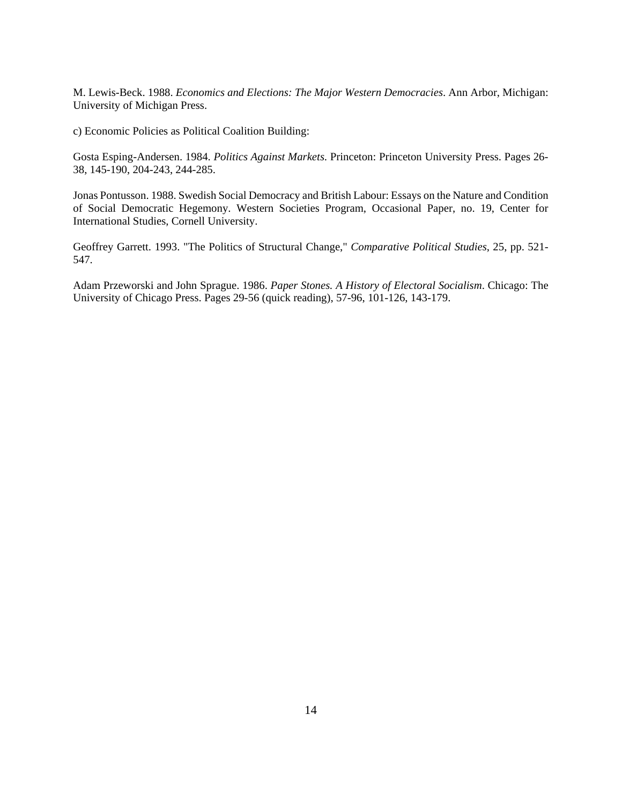M. Lewis-Beck. 1988. *Economics and Elections: The Major Western Democracies*. Ann Arbor, Michigan: University of Michigan Press.

c) Economic Policies as Political Coalition Building:

Gosta Esping-Andersen. 1984. *Politics Against Markets*. Princeton: Princeton University Press. Pages 26- 38, 145-190, 204-243, 244-285.

Jonas Pontusson. 1988. Swedish Social Democracy and British Labour: Essays on the Nature and Condition of Social Democratic Hegemony. Western Societies Program, Occasional Paper, no. 19, Center for International Studies, Cornell University.

Geoffrey Garrett. 1993. "The Politics of Structural Change," *Comparative Political Studies*, 25, pp. 521- 547.

Adam Przeworski and John Sprague. 1986. *Paper Stones. A History of Electoral Socialism*. Chicago: The University of Chicago Press. Pages 29-56 (quick reading), 57-96, 101-126, 143-179.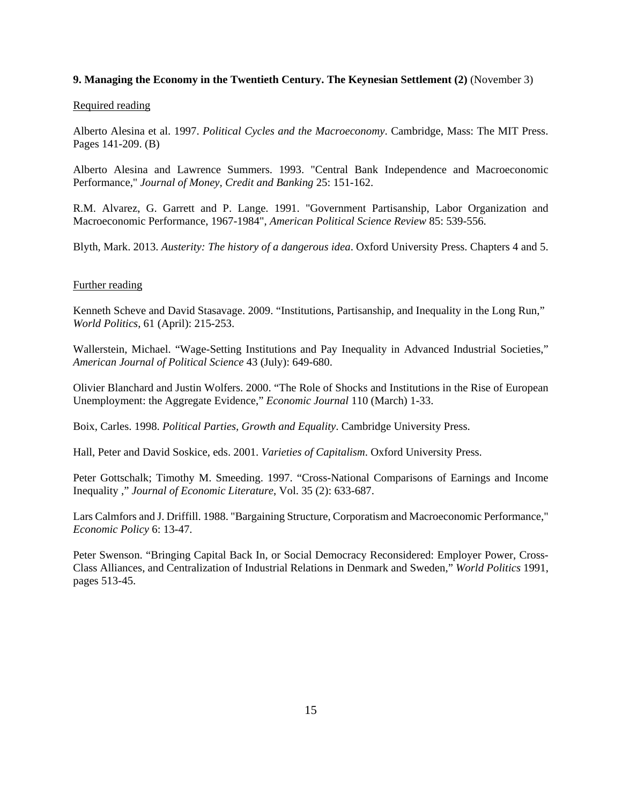## **9. Managing the Economy in the Twentieth Century. The Keynesian Settlement (2)** (November 3)

#### Required reading

Alberto Alesina et al. 1997. *Political Cycles and the Macroeconomy*. Cambridge, Mass: The MIT Press. Pages 141-209. (B)

Alberto Alesina and Lawrence Summers. 1993. "Central Bank Independence and Macroeconomic Performance," *Journal of Money, Credit and Banking* 25: 151-162.

R.M. Alvarez, G. Garrett and P. Lange. 1991. "Government Partisanship, Labor Organization and Macroeconomic Performance, 1967-1984", *American Political Science Review* 85: 539-556.

Blyth, Mark. 2013. *Austerity: The history of a dangerous idea*. Oxford University Press. Chapters 4 and 5.

## Further reading

Kenneth Scheve and David Stasavage. 2009. "Institutions, Partisanship, and Inequality in the Long Run," *World Politics*, 61 (April): 215-253.

Wallerstein, Michael. "Wage-Setting Institutions and Pay Inequality in Advanced Industrial Societies," *American Journal of Political Science* 43 (July): 649-680.

Olivier Blanchard and Justin Wolfers. 2000. "The Role of Shocks and Institutions in the Rise of European Unemployment: the Aggregate Evidence," *Economic Journal* 110 (March) 1-33.

Boix, Carles. 1998. *Political Parties, Growth and Equality*. Cambridge University Press.

Hall, Peter and David Soskice, eds. 2001. *Varieties of Capitalism*. Oxford University Press.

Peter Gottschalk; Timothy M. Smeeding. 1997. "Cross-National Comparisons of Earnings and Income Inequality ," *Journal of Economic Literature*, Vol. 35 (2): 633-687.

Lars Calmfors and J. Driffill. 1988. "Bargaining Structure, Corporatism and Macroeconomic Performance," *Economic Policy* 6: 13-47.

Peter Swenson. "Bringing Capital Back In, or Social Democracy Reconsidered: Employer Power, Cross-Class Alliances, and Centralization of Industrial Relations in Denmark and Sweden," *World Politics* 1991, pages 513-45.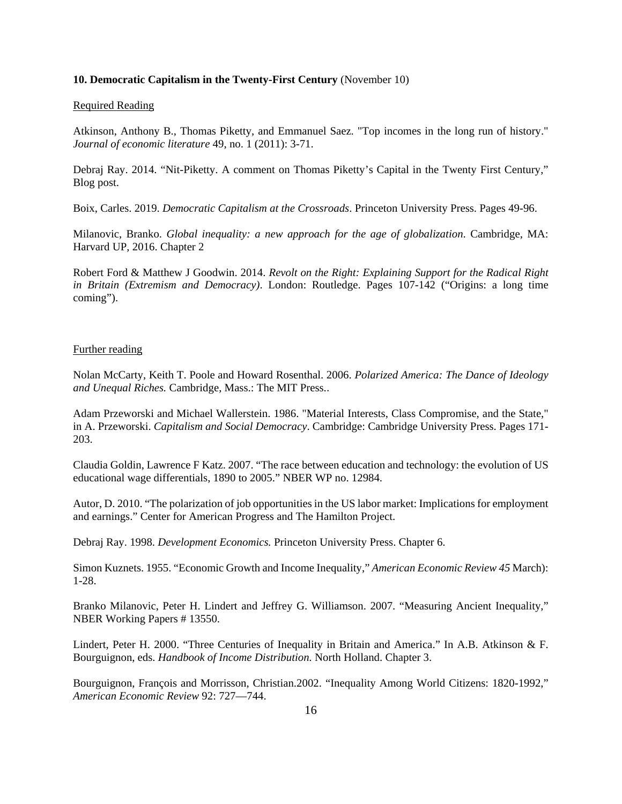#### **10. Democratic Capitalism in the Twenty-First Century** (November 10)

#### Required Reading

Atkinson, Anthony B., Thomas Piketty, and Emmanuel Saez. "Top incomes in the long run of history." *Journal of economic literature* 49, no. 1 (2011): 3-71.

Debraj Ray. 2014. "Nit-Piketty. A comment on Thomas Piketty's Capital in the Twenty First Century," Blog post.

Boix, Carles. 2019. *Democratic Capitalism at the Crossroads*. Princeton University Press. Pages 49-96.

Milanovic, Branko. *Global inequality: a new approach for the age of globalization*. Cambridge, MA: Harvard UP, 2016. Chapter 2

Robert Ford & Matthew J Goodwin. 2014. *Revolt on the Right: Explaining Support for the Radical Right in Britain (Extremism and Democracy)*. London: Routledge. Pages 107-142 ("Origins: a long time coming").

#### Further reading

Nolan McCarty, Keith T. Poole and Howard Rosenthal. 2006. *Polarized America: The Dance of Ideology and Unequal Riches.* Cambridge, Mass.: The MIT Press..

Adam Przeworski and Michael Wallerstein. 1986. "Material Interests, Class Compromise, and the State," in A. Przeworski. *Capitalism and Social Democracy*. Cambridge: Cambridge University Press. Pages 171- 203.

Claudia Goldin, Lawrence F Katz. 2007. "The race between education and technology: the evolution of US educational wage differentials, 1890 to 2005." NBER WP no. 12984.

Autor, D. 2010. "The polarization of job opportunities in the US labor market: Implications for employment and earnings." Center for American Progress and The Hamilton Project.

Debraj Ray. 1998. *Development Economics.* Princeton University Press. Chapter 6.

Simon Kuznets. 1955. "Economic Growth and Income Inequality," *American Economic Review 45* March): 1-28.

Branko Milanovic, Peter H. Lindert and Jeffrey G. Williamson. 2007. "Measuring Ancient Inequality," NBER Working Papers # 13550.

Lindert, Peter H. 2000. "Three Centuries of Inequality in Britain and America." In A.B. Atkinson & F. Bourguignon, eds. *Handbook of Income Distribution.* North Holland. Chapter 3.

Bourguignon, François and Morrisson, Christian.2002. "Inequality Among World Citizens: 1820-1992," *American Economic Review* 92: 727—744.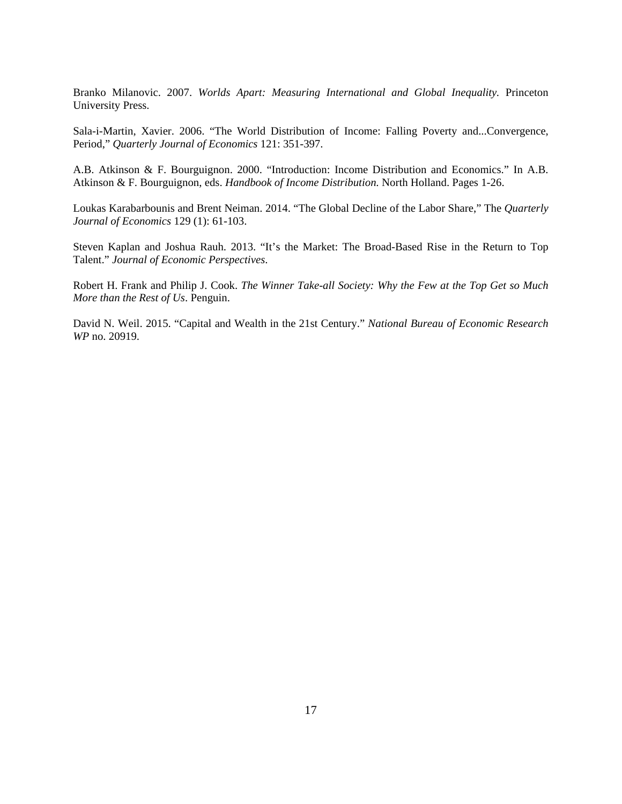Branko Milanovic. 2007. *Worlds Apart: Measuring International and Global Inequality.* Princeton University Press.

Sala-i-Martin, Xavier. 2006. "The World Distribution of Income: Falling Poverty and...Convergence, Period," *Quarterly Journal of Economics* 121: 351-397.

A.B. Atkinson & F. Bourguignon. 2000. "Introduction: Income Distribution and Economics." In A.B. Atkinson & F. Bourguignon, eds. *Handbook of Income Distribution.* North Holland. Pages 1-26.

Loukas Karabarbounis and Brent Neiman. 2014. "The Global Decline of the Labor Share," The *Quarterly Journal of Economics* 129 (1): 61-103.

Steven Kaplan and Joshua Rauh. 2013. "It's the Market: The Broad-Based Rise in the Return to Top Talent." *Journal of Economic Perspectives*.

Robert H. Frank and Philip J. Cook. *The Winner Take-all Society: Why the Few at the Top Get so Much More than the Rest of Us*. Penguin.

David N. Weil. 2015. "Capital and Wealth in the 21st Century." *National Bureau of Economic Research WP* no. 20919.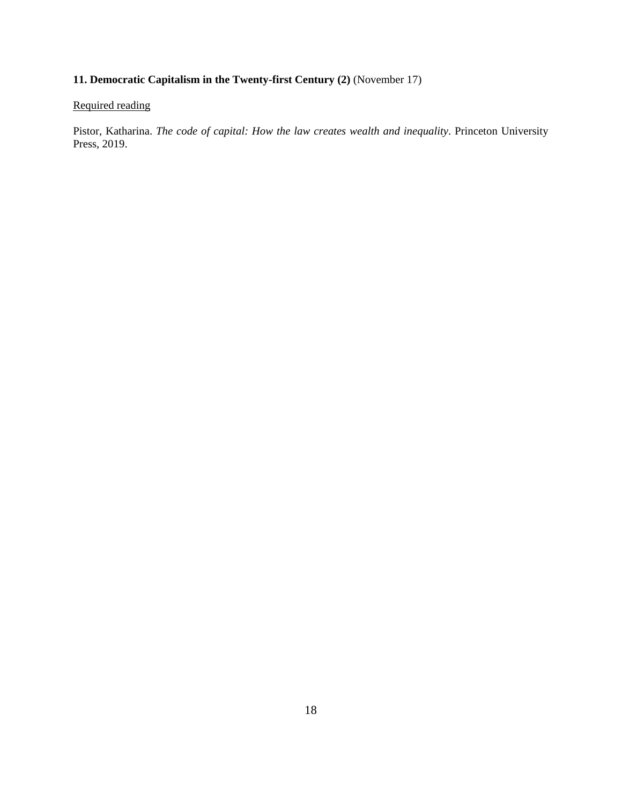# **11. Democratic Capitalism in the Twenty-first Century (2)** (November 17)

## Required reading

Pistor, Katharina. *The code of capital: How the law creates wealth and inequality*. Princeton University Press, 2019.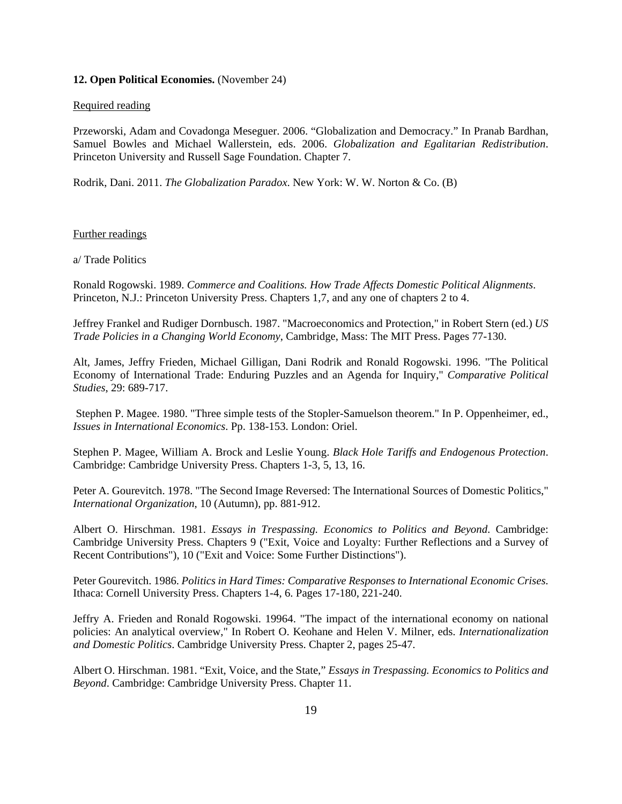#### **12. Open Political Economies.** (November 24)

#### Required reading

Przeworski, Adam and Covadonga Meseguer. 2006. "Globalization and Democracy." In Pranab Bardhan, Samuel Bowles and Michael Wallerstein, eds. 2006. *Globalization and Egalitarian Redistribution*. Princeton University and Russell Sage Foundation. Chapter 7.

Rodrik, Dani. 2011. *The Globalization Paradox*. New York: W. W. Norton & Co. (B)

Further readings

a/ Trade Politics

Ronald Rogowski. 1989. *Commerce and Coalitions. How Trade Affects Domestic Political Alignments*. Princeton, N.J.: Princeton University Press. Chapters 1,7, and any one of chapters 2 to 4.

Jeffrey Frankel and Rudiger Dornbusch. 1987. "Macroeconomics and Protection," in Robert Stern (ed.) *US Trade Policies in a Changing World Economy*, Cambridge, Mass: The MIT Press. Pages 77-130.

Alt, James, Jeffry Frieden, Michael Gilligan, Dani Rodrik and Ronald Rogowski. 1996. "The Political Economy of International Trade: Enduring Puzzles and an Agenda for Inquiry," *Comparative Political Studies*, 29: 689-717.

Stephen P. Magee. 1980. "Three simple tests of the Stopler-Samuelson theorem." In P. Oppenheimer, ed., *Issues in International Economics*. Pp. 138-153. London: Oriel.

Stephen P. Magee, William A. Brock and Leslie Young. *Black Hole Tariffs and Endogenous Protection*. Cambridge: Cambridge University Press. Chapters 1-3, 5, 13, 16.

Peter A. Gourevitch. 1978. "The Second Image Reversed: The International Sources of Domestic Politics," *International Organization*, 10 (Autumn), pp. 881-912.

Albert O. Hirschman. 1981. *Essays in Trespassing. Economics to Politics and Beyond*. Cambridge: Cambridge University Press. Chapters 9 ("Exit, Voice and Loyalty: Further Reflections and a Survey of Recent Contributions"), 10 ("Exit and Voice: Some Further Distinctions").

Peter Gourevitch. 1986. *Politics in Hard Times: Comparative Responses to International Economic Crises*. Ithaca: Cornell University Press. Chapters 1-4, 6. Pages 17-180, 221-240.

Jeffry A. Frieden and Ronald Rogowski. 19964. "The impact of the international economy on national policies: An analytical overview," In Robert O. Keohane and Helen V. Milner, eds. *Internationalization and Domestic Politics*. Cambridge University Press. Chapter 2, pages 25-47.

Albert O. Hirschman. 1981. "Exit, Voice, and the State," *Essays in Trespassing. Economics to Politics and Beyond*. Cambridge: Cambridge University Press. Chapter 11.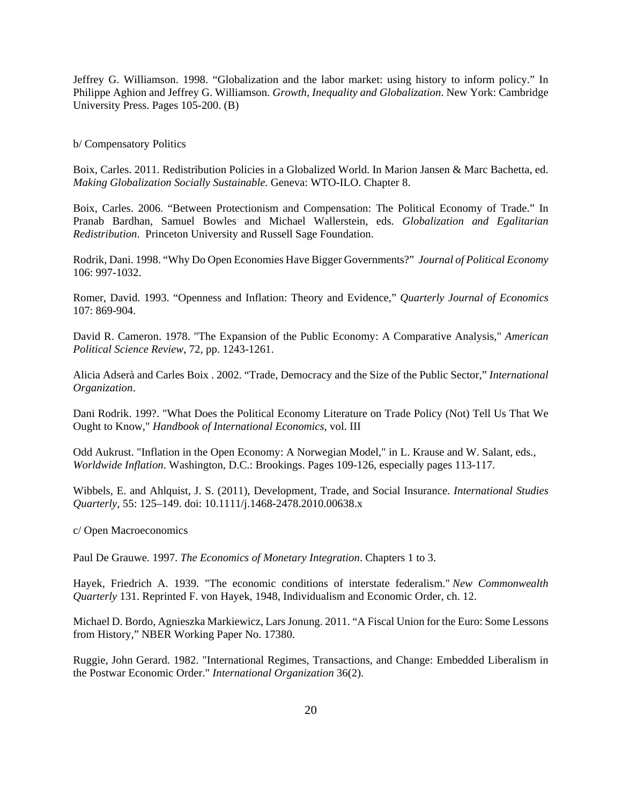Jeffrey G. Williamson. 1998. "Globalization and the labor market: using history to inform policy." In Philippe Aghion and Jeffrey G. Williamson. *Growth, Inequality and Globalization*. New York: Cambridge University Press. Pages 105-200. (B)

#### b/ Compensatory Politics

Boix, Carles. 2011. Redistribution Policies in a Globalized World. In Marion Jansen & Marc Bachetta, ed. *Making Globalization Socially Sustainable.* Geneva: WTO-ILO. Chapter 8.

Boix, Carles. 2006. "Between Protectionism and Compensation: The Political Economy of Trade." In Pranab Bardhan, Samuel Bowles and Michael Wallerstein, eds. *Globalization and Egalitarian Redistribution*. Princeton University and Russell Sage Foundation.

Rodrik, Dani. 1998. "Why Do Open Economies Have Bigger Governments?" *Journal of Political Economy* 106: 997-1032.

Romer, David. 1993. "Openness and Inflation: Theory and Evidence," *Quarterly Journal of Economics* 107: 869-904.

David R. Cameron. 1978. "The Expansion of the Public Economy: A Comparative Analysis," *American Political Science Review*, 72, pp. 1243-1261.

Alicia Adserà and Carles Boix . 2002. "Trade, Democracy and the Size of the Public Sector," *International Organization*.

Dani Rodrik. 199?. "What Does the Political Economy Literature on Trade Policy (Not) Tell Us That We Ought to Know," *Handbook of International Economics*, vol. III

Odd Aukrust. "Inflation in the Open Economy: A Norwegian Model," in L. Krause and W. Salant, eds., *Worldwide Inflation*. Washington, D.C.: Brookings. Pages 109-126, especially pages 113-117.

Wibbels, E. and Ahlquist, J. S. (2011), Development, Trade, and Social Insurance. *International Studies Quarterly*, 55: 125–149. doi: 10.1111/j.1468-2478.2010.00638.x

c/ Open Macroeconomics

Paul De Grauwe. 1997. *The Economics of Monetary Integration*. Chapters 1 to 3.

Hayek, Friedrich A. 1939. "The economic conditions of interstate federalism." *New Commonwealth Quarterly* 131. Reprinted F. von Hayek, 1948, Individualism and Economic Order, ch. 12.

Michael D. Bordo, Agnieszka Markiewicz, Lars Jonung. 2011. "A Fiscal Union for the Euro: Some Lessons from History," NBER Working Paper No. 17380.

Ruggie, John Gerard. 1982. "International Regimes, Transactions, and Change: Embedded Liberalism in the Postwar Economic Order." *International Organization* 36(2).